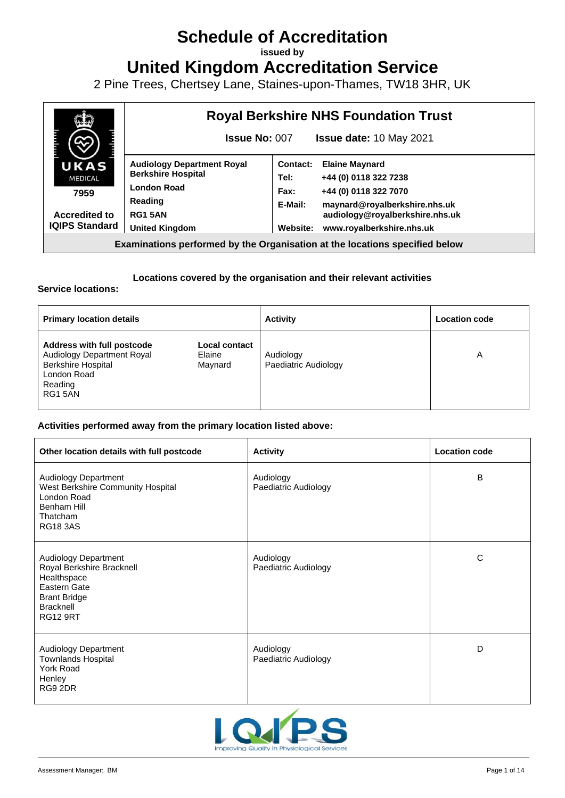# **Schedule of Accreditation**

**issued by**

**United Kingdom Accreditation Service**

2 Pine Trees, Chertsey Lane, Staines-upon-Thames, TW18 3HR, UK



## **Locations covered by the organisation and their relevant activities**

**Service locations:**

| <b>Primary location details</b>                                                                                                  |                                    | <b>Activity</b>                   | <b>Location code</b> |
|----------------------------------------------------------------------------------------------------------------------------------|------------------------------------|-----------------------------------|----------------------|
| <b>Address with full postcode</b><br>Audiology Department Royal<br><b>Berkshire Hospital</b><br>London Road<br>Reading<br>RG15AN | Local contact<br>Elaine<br>Maynard | Audiology<br>Paediatric Audiology | Α                    |

#### **Activities performed away from the primary location listed above:**

| Other location details with full postcode                                                                                                      | <b>Activity</b>                   | <b>Location code</b> |
|------------------------------------------------------------------------------------------------------------------------------------------------|-----------------------------------|----------------------|
| Audiology Department<br>West Berkshire Community Hospital<br>London Road<br>Benham Hill<br>Thatcham<br><b>RG18 3AS</b>                         | Audiology<br>Paediatric Audiology | B                    |
| Audiology Department<br>Royal Berkshire Bracknell<br>Healthspace<br>Eastern Gate<br><b>Brant Bridge</b><br><b>Bracknell</b><br><b>RG12 9RT</b> | Audiology<br>Paediatric Audiology | C                    |
| Audiology Department<br><b>Townlands Hospital</b><br>York Road<br>Henley<br>RG9 2DR                                                            | Audiology<br>Paediatric Audiology | D                    |

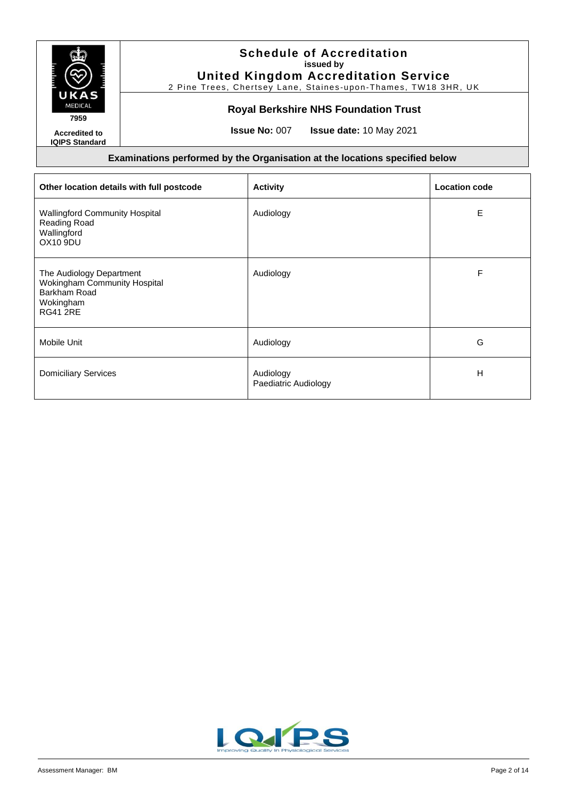

2 Pine Trees, Chertsey Lane, Staines-upon-Thames, TW18 3HR, UK

## **Royal Berkshire NHS Foundation Trust**

**Accredited to IQIPS Standard** **Issue No:** 007 **Issue date:** 10 May 2021

| Other location details with full postcode                                                                       | <b>Activity</b>                   | <b>Location code</b> |
|-----------------------------------------------------------------------------------------------------------------|-----------------------------------|----------------------|
| <b>Wallingford Community Hospital</b><br>Reading Road<br>Wallingford<br>OX10 9DU                                | Audiology                         | E                    |
| The Audiology Department<br><b>Wokingham Community Hospital</b><br>Barkham Road<br>Wokingham<br><b>RG41 2RE</b> | Audiology                         | F                    |
| Mobile Unit                                                                                                     | Audiology                         | G                    |
| <b>Domiciliary Services</b>                                                                                     | Audiology<br>Paediatric Audiology | н                    |

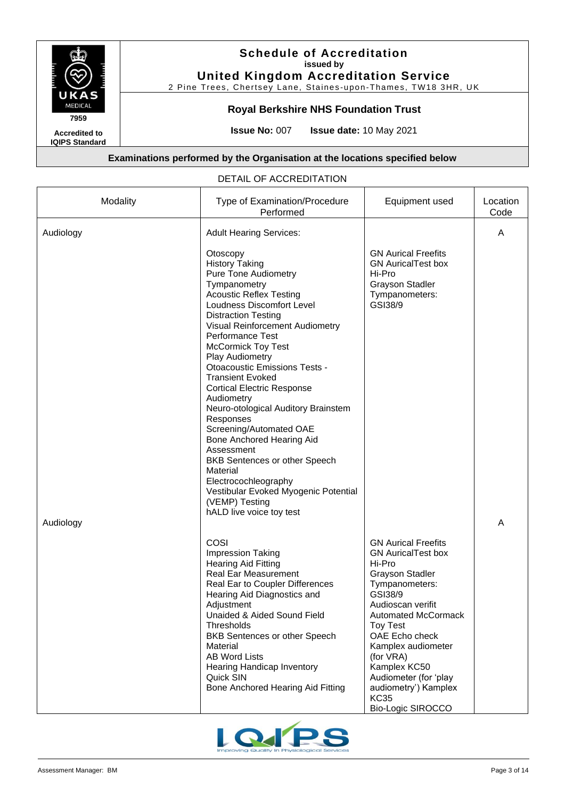

## **Royal Berkshire NHS Foundation Trust**

**Accredited to IQIPS Standard** **Issue No:** 007 **Issue date:** 10 May 2021

## **Examinations performed by the Organisation at the locations specified below**

#### DETAIL OF ACCREDITATION

| Modality  | Type of Examination/Procedure<br>Performed                                                                                                                                                                                                                                                                                                                                                                                                                                                                                                                                                                                                  | Equipment used                                                                                                                                                                                                                                                                                                                                           | Location<br>Code |
|-----------|---------------------------------------------------------------------------------------------------------------------------------------------------------------------------------------------------------------------------------------------------------------------------------------------------------------------------------------------------------------------------------------------------------------------------------------------------------------------------------------------------------------------------------------------------------------------------------------------------------------------------------------------|----------------------------------------------------------------------------------------------------------------------------------------------------------------------------------------------------------------------------------------------------------------------------------------------------------------------------------------------------------|------------------|
| Audiology | <b>Adult Hearing Services:</b><br>Otoscopy<br><b>History Taking</b><br><b>Pure Tone Audiometry</b><br>Tympanometry<br><b>Acoustic Reflex Testing</b><br>Loudness Discomfort Level<br><b>Distraction Testing</b><br>Visual Reinforcement Audiometry<br>Performance Test<br><b>McCormick Toy Test</b><br>Play Audiometry<br><b>Otoacoustic Emissions Tests -</b><br><b>Transient Evoked</b><br><b>Cortical Electric Response</b><br>Audiometry<br>Neuro-otological Auditory Brainstem<br>Responses<br>Screening/Automated OAE<br>Bone Anchored Hearing Aid<br>Assessment<br>BKB Sentences or other Speech<br>Material<br>Electrocochleography | <b>GN Aurical Freefits</b><br><b>GN AuricalTest box</b><br>Hi-Pro<br><b>Grayson Stadler</b><br>Tympanometers:<br>GSI38/9                                                                                                                                                                                                                                 | A                |
| Audiology | Vestibular Evoked Myogenic Potential<br>(VEMP) Testing<br>hALD live voice toy test<br>COSI<br>Impression Taking<br><b>Hearing Aid Fitting</b><br><b>Real Ear Measurement</b><br>Real Ear to Coupler Differences<br>Hearing Aid Diagnostics and<br>Adjustment<br>Unaided & Aided Sound Field<br><b>Thresholds</b><br>BKB Sentences or other Speech<br>Material<br><b>AB Word Lists</b><br><b>Hearing Handicap Inventory</b><br>Quick SIN<br>Bone Anchored Hearing Aid Fitting                                                                                                                                                                | <b>GN Aurical Freefits</b><br><b>GN AuricalTest box</b><br>Hi-Pro<br><b>Grayson Stadler</b><br>Tympanometers:<br>GSI38/9<br>Audioscan verifit<br>Automated McCormack<br><b>Toy Test</b><br>OAE Echo check<br>Kamplex audiometer<br>(for VRA)<br>Kamplex KC50<br>Audiometer (for 'play<br>audiometry') Kamplex<br><b>KC35</b><br><b>Bio-Logic SIROCCO</b> | A                |

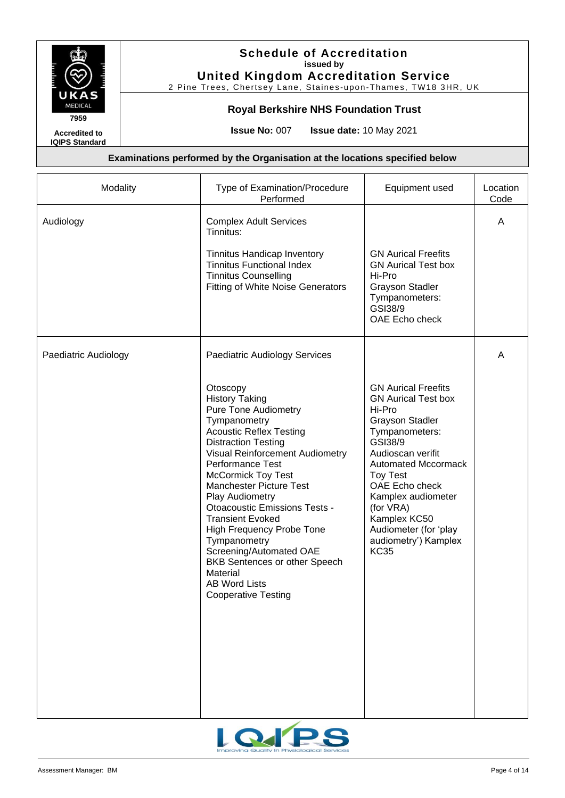

2 Pine Trees, Chertsey Lane, Staines-upon-Thames, TW18 3HR, UK

## **Royal Berkshire NHS Foundation Trust**

**Accredited to IQIPS Standard** **Issue No:** 007 **Issue date:** 10 May 2021

| Modality             | Type of Examination/Procedure<br>Performed                                                                                                                                                                                                                                                                                                                                                                                                                                                                                                                                      | Equipment used                                                                                                                                                                                                                                                                                                                       | Location<br>Code |
|----------------------|---------------------------------------------------------------------------------------------------------------------------------------------------------------------------------------------------------------------------------------------------------------------------------------------------------------------------------------------------------------------------------------------------------------------------------------------------------------------------------------------------------------------------------------------------------------------------------|--------------------------------------------------------------------------------------------------------------------------------------------------------------------------------------------------------------------------------------------------------------------------------------------------------------------------------------|------------------|
| Audiology            | <b>Complex Adult Services</b><br>Tinnitus:<br>Tinnitus Handicap Inventory<br><b>Tinnitus Functional Index</b><br><b>Tinnitus Counselling</b><br><b>Fitting of White Noise Generators</b>                                                                                                                                                                                                                                                                                                                                                                                        | <b>GN Aurical Freefits</b><br><b>GN Aurical Test box</b><br>Hi-Pro<br><b>Grayson Stadler</b><br>Tympanometers:<br>GSI38/9<br>OAE Echo check                                                                                                                                                                                          | A                |
| Paediatric Audiology | Paediatric Audiology Services<br>Otoscopy<br><b>History Taking</b><br><b>Pure Tone Audiometry</b><br>Tympanometry<br><b>Acoustic Reflex Testing</b><br><b>Distraction Testing</b><br>Visual Reinforcement Audiometry<br>Performance Test<br><b>McCormick Toy Test</b><br><b>Manchester Picture Test</b><br>Play Audiometry<br><b>Otoacoustic Emissions Tests -</b><br><b>Transient Evoked</b><br>High Frequency Probe Tone<br>Tympanometry<br>Screening/Automated OAE<br><b>BKB Sentences or other Speech</b><br>Material<br><b>AB Word Lists</b><br><b>Cooperative Testing</b> | <b>GN Aurical Freefits</b><br><b>GN Aurical Test box</b><br>Hi-Pro<br><b>Grayson Stadler</b><br>Tympanometers:<br>GSI38/9<br>Audioscan verifit<br><b>Automated Mccormack</b><br><b>Toy Test</b><br>OAE Echo check<br>Kamplex audiometer<br>(for VRA)<br>Kamplex KC50<br>Audiometer (for 'play<br>audiometry') Kamplex<br><b>KC35</b> | A                |

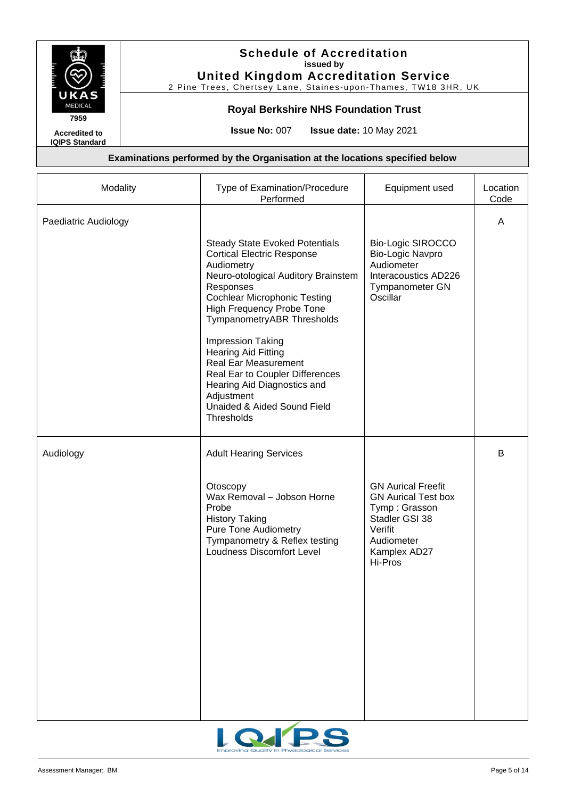

# **Royal Berkshire NHS Foundation Trust**

**Accredited to IQIPS Standard** **Issue No:** 007 **Issue date:** 10 May 2021

| Modality             | Type of Examination/Procedure<br>Performed                                                                                                                                                                                                                                                                                                                                                                                                                                  | Equipment used                                                                                                                                 | Location<br>Code |
|----------------------|-----------------------------------------------------------------------------------------------------------------------------------------------------------------------------------------------------------------------------------------------------------------------------------------------------------------------------------------------------------------------------------------------------------------------------------------------------------------------------|------------------------------------------------------------------------------------------------------------------------------------------------|------------------|
| Paediatric Audiology |                                                                                                                                                                                                                                                                                                                                                                                                                                                                             |                                                                                                                                                | A                |
|                      | <b>Steady State Evoked Potentials</b><br><b>Cortical Electric Response</b><br>Audiometry<br>Neuro-otological Auditory Brainstem<br>Responses<br><b>Cochlear Microphonic Testing</b><br><b>High Frequency Probe Tone</b><br>TympanometryABR Thresholds<br><b>Impression Taking</b><br><b>Hearing Aid Fitting</b><br><b>Real Ear Measurement</b><br>Real Ear to Coupler Differences<br>Hearing Aid Diagnostics and<br>Adjustment<br>Unaided & Aided Sound Field<br>Thresholds | <b>Bio-Logic SIROCCO</b><br>Bio-Logic Navpro<br>Audiometer<br>Interacoustics AD226<br>Tympanometer GN<br>Oscillar                              |                  |
| Audiology            | <b>Adult Hearing Services</b>                                                                                                                                                                                                                                                                                                                                                                                                                                               |                                                                                                                                                | B                |
|                      | Otoscopy<br>Wax Removal - Jobson Horne<br>Probe<br><b>History Taking</b><br><b>Pure Tone Audiometry</b><br>Tympanometry & Reflex testing<br><b>Loudness Discomfort Level</b>                                                                                                                                                                                                                                                                                                | <b>GN Aurical Freefit</b><br><b>GN Aurical Test box</b><br>Tymp: Grasson<br>Stadler GSI 38<br>Verifit<br>Audiometer<br>Kamplex AD27<br>Hi-Pros |                  |

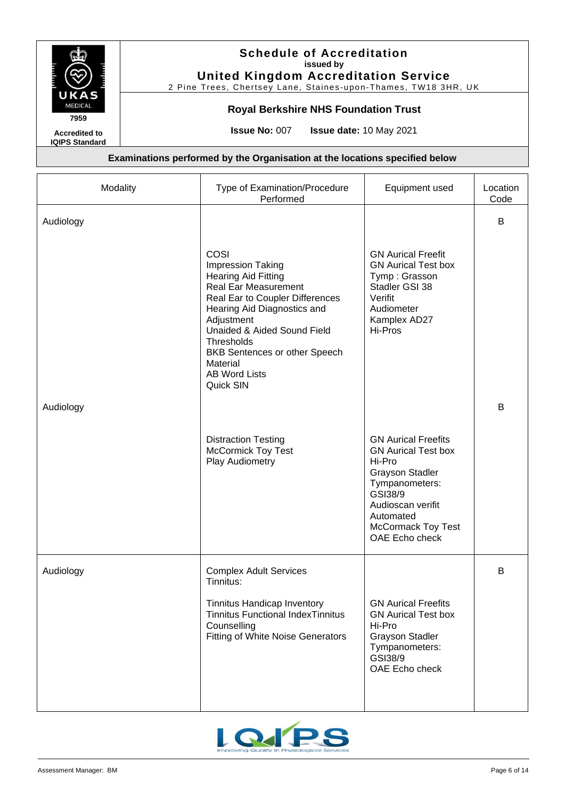

# **Royal Berkshire NHS Foundation Trust**

**Accredited to IQIPS Standard** **Issue No:** 007 **Issue date:** 10 May 2021

| Modality  | Type of Examination/Procedure<br>Performed                                                                                                                                                                                                                                                                          | Equipment used                                                                                                                                                                                             | Location<br>Code |
|-----------|---------------------------------------------------------------------------------------------------------------------------------------------------------------------------------------------------------------------------------------------------------------------------------------------------------------------|------------------------------------------------------------------------------------------------------------------------------------------------------------------------------------------------------------|------------------|
| Audiology |                                                                                                                                                                                                                                                                                                                     |                                                                                                                                                                                                            | B                |
|           | COSI<br><b>Impression Taking</b><br><b>Hearing Aid Fitting</b><br><b>Real Ear Measurement</b><br>Real Ear to Coupler Differences<br>Hearing Aid Diagnostics and<br>Adjustment<br>Unaided & Aided Sound Field<br>Thresholds<br><b>BKB Sentences or other Speech</b><br>Material<br><b>AB Word Lists</b><br>Quick SIN | <b>GN Aurical Freefit</b><br><b>GN Aurical Test box</b><br>Tymp: Grasson<br>Stadler GSI 38<br>Verifit<br>Audiometer<br>Kamplex AD27<br>Hi-Pros                                                             |                  |
| Audiology |                                                                                                                                                                                                                                                                                                                     |                                                                                                                                                                                                            | B                |
|           | <b>Distraction Testing</b><br><b>McCormick Toy Test</b><br>Play Audiometry                                                                                                                                                                                                                                          | <b>GN Aurical Freefits</b><br><b>GN Aurical Test box</b><br>Hi-Pro<br><b>Grayson Stadler</b><br>Tympanometers:<br>GSI38/9<br>Audioscan verifit<br>Automated<br><b>McCormack Toy Test</b><br>OAE Echo check |                  |
| Audiology | <b>Complex Adult Services</b><br>Tinnitus:                                                                                                                                                                                                                                                                          |                                                                                                                                                                                                            | B                |
|           | <b>Tinnitus Handicap Inventory</b><br><b>Tinnitus Functional IndexTinnitus</b><br>Counselling<br><b>Fitting of White Noise Generators</b>                                                                                                                                                                           | <b>GN Aurical Freefits</b><br><b>GN Aurical Test box</b><br>Hi-Pro<br><b>Grayson Stadler</b><br>Tympanometers:<br>GSI38/9<br>OAE Echo check                                                                |                  |

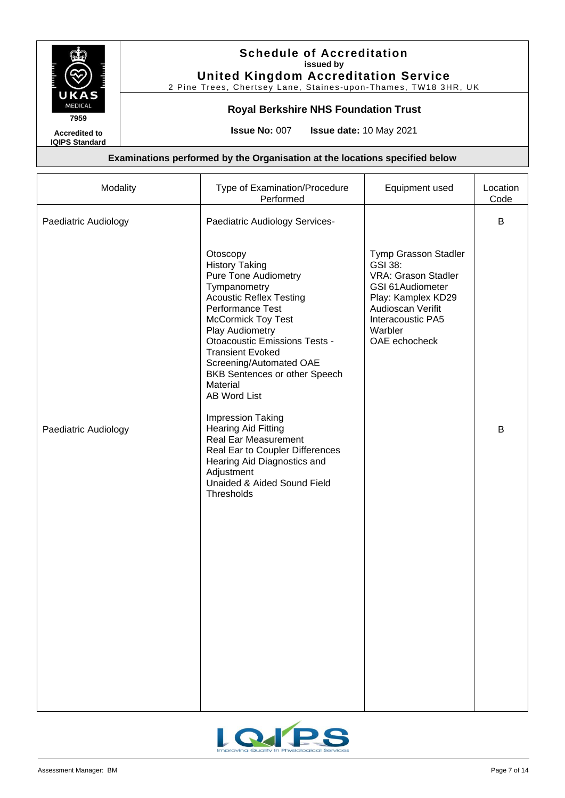

## **Royal Berkshire NHS Foundation Trust**

**Accredited to IQIPS Standard** **Issue No:** 007 **Issue date:** 10 May 2021

| B<br>Paediatric Audiology<br>Paediatric Audiology Services-<br>Otoscopy<br>Tymp Grasson Stadler<br><b>History Taking</b><br>GSI 38:<br><b>Pure Tone Audiometry</b><br>VRA: Grason Stadler<br>GSI 61 Audiometer<br>Tympanometry<br><b>Acoustic Reflex Testing</b><br>Play: Kamplex KD29<br>Performance Test<br>Audioscan Verifit<br><b>McCormick Toy Test</b><br>Interacoustic PA5<br>Warbler<br>Play Audiometry<br><b>Otoacoustic Emissions Tests -</b><br>OAE echocheck<br><b>Transient Evoked</b><br>Screening/Automated OAE<br>BKB Sentences or other Speech<br>Material<br><b>AB Word List</b><br><b>Impression Taking</b><br><b>Hearing Aid Fitting</b><br>B<br>Paediatric Audiology<br><b>Real Ear Measurement</b><br>Real Ear to Coupler Differences<br>Hearing Aid Diagnostics and<br>Adjustment<br>Unaided & Aided Sound Field<br>Thresholds | Modality | Type of Examination/Procedure<br>Performed | Equipment used | Location<br>Code |
|-------------------------------------------------------------------------------------------------------------------------------------------------------------------------------------------------------------------------------------------------------------------------------------------------------------------------------------------------------------------------------------------------------------------------------------------------------------------------------------------------------------------------------------------------------------------------------------------------------------------------------------------------------------------------------------------------------------------------------------------------------------------------------------------------------------------------------------------------------|----------|--------------------------------------------|----------------|------------------|
|                                                                                                                                                                                                                                                                                                                                                                                                                                                                                                                                                                                                                                                                                                                                                                                                                                                       |          |                                            |                |                  |
|                                                                                                                                                                                                                                                                                                                                                                                                                                                                                                                                                                                                                                                                                                                                                                                                                                                       |          |                                            |                |                  |

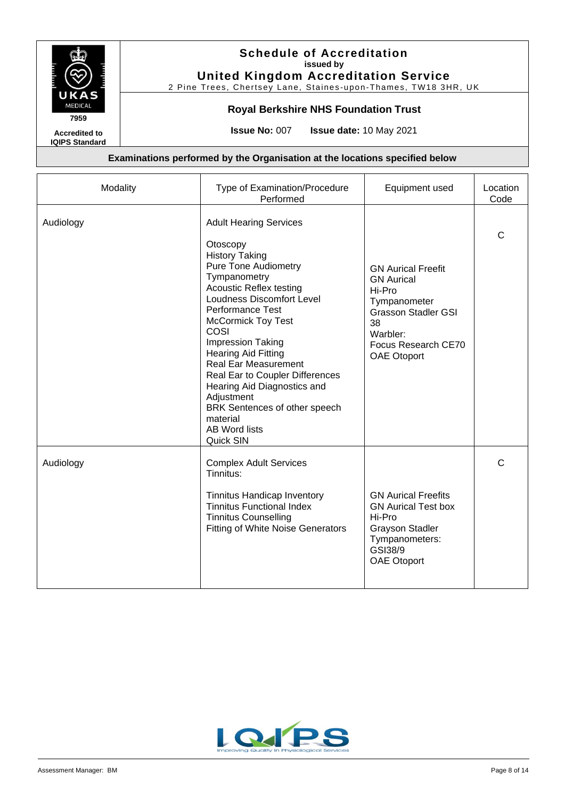

2 Pine Trees, Chertsey Lane, Staines-upon-Thames, TW18 3HR, UK

## **Royal Berkshire NHS Foundation Trust**

**Accredited to**

**IQIPS Standard**

**Issue No:** 007 **Issue date:** 10 May 2021

| Modality  | Type of Examination/Procedure<br>Performed                                                                                                                                                                                                                                                                                                                                                                                                                                                                         | Equipment used                                                                                                                                                 | Location<br>Code |
|-----------|--------------------------------------------------------------------------------------------------------------------------------------------------------------------------------------------------------------------------------------------------------------------------------------------------------------------------------------------------------------------------------------------------------------------------------------------------------------------------------------------------------------------|----------------------------------------------------------------------------------------------------------------------------------------------------------------|------------------|
| Audiology | <b>Adult Hearing Services</b><br>Otoscopy<br><b>History Taking</b><br><b>Pure Tone Audiometry</b><br>Tympanometry<br><b>Acoustic Reflex testing</b><br><b>Loudness Discomfort Level</b><br><b>Performance Test</b><br><b>McCormick Toy Test</b><br>COSI<br><b>Impression Taking</b><br><b>Hearing Aid Fitting</b><br><b>Real Ear Measurement</b><br>Real Ear to Coupler Differences<br>Hearing Aid Diagnostics and<br>Adjustment<br>BRK Sentences of other speech<br>material<br><b>AB Word lists</b><br>Quick SIN | <b>GN Aurical Freefit</b><br><b>GN</b> Aurical<br>Hi-Pro<br>Tympanometer<br><b>Grasson Stadler GSI</b><br>38<br>Warbler:<br>Focus Research CE70<br>OAE Otoport | $\mathsf{C}$     |
| Audiology | <b>Complex Adult Services</b><br>Tinnitus:<br><b>Tinnitus Handicap Inventory</b><br><b>Tinnitus Functional Index</b><br><b>Tinnitus Counselling</b><br><b>Fitting of White Noise Generators</b>                                                                                                                                                                                                                                                                                                                    | <b>GN Aurical Freefits</b><br><b>GN Aurical Test box</b><br>Hi-Pro<br><b>Grayson Stadler</b><br>Tympanometers:<br>GSI38/9<br>OAE Otoport                       | C                |

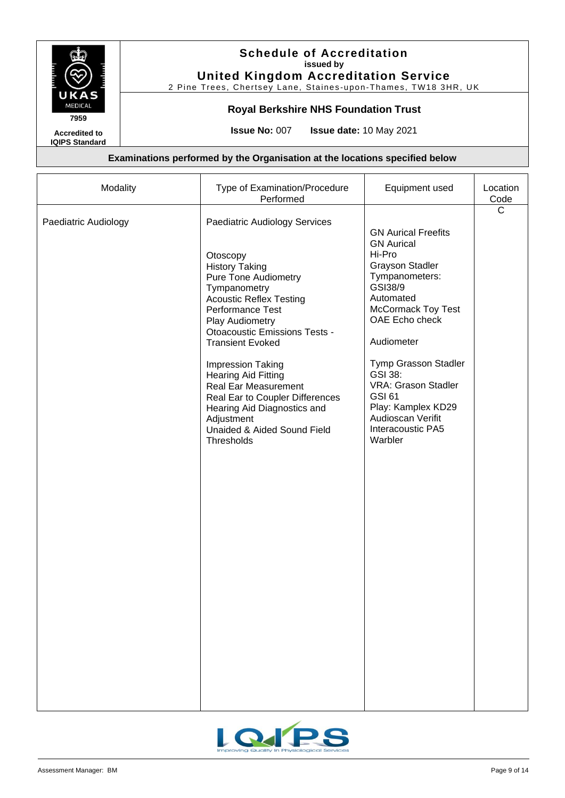

## **Royal Berkshire NHS Foundation Trust**

**Accredited to IQIPS Standard** **Issue No:** 007 **Issue date:** 10 May 2021

| Modality             | Type of Examination/Procedure<br>Performed                                                                                                                                                                                                                                                                                                                                                                                                                                          | Equipment used                                                                                                                                                                                                                                                                                                                                   | Location<br>Code |
|----------------------|-------------------------------------------------------------------------------------------------------------------------------------------------------------------------------------------------------------------------------------------------------------------------------------------------------------------------------------------------------------------------------------------------------------------------------------------------------------------------------------|--------------------------------------------------------------------------------------------------------------------------------------------------------------------------------------------------------------------------------------------------------------------------------------------------------------------------------------------------|------------------|
| Paediatric Audiology | Paediatric Audiology Services<br>Otoscopy<br><b>History Taking</b><br><b>Pure Tone Audiometry</b><br>Tympanometry<br><b>Acoustic Reflex Testing</b><br>Performance Test<br>Play Audiometry<br><b>Otoacoustic Emissions Tests -</b><br><b>Transient Evoked</b><br><b>Impression Taking</b><br><b>Hearing Aid Fitting</b><br><b>Real Ear Measurement</b><br>Real Ear to Coupler Differences<br>Hearing Aid Diagnostics and<br>Adjustment<br>Unaided & Aided Sound Field<br>Thresholds | <b>GN Aurical Freefits</b><br><b>GN Aurical</b><br>Hi-Pro<br><b>Grayson Stadler</b><br>Tympanometers:<br>GSI38/9<br>Automated<br><b>McCormack Toy Test</b><br>OAE Echo check<br>Audiometer<br>Tymp Grasson Stadler<br>GSI 38:<br>VRA: Grason Stadler<br><b>GSI 61</b><br>Play: Kamplex KD29<br>Audioscan Verifit<br>Interacoustic PA5<br>Warbler | $\mathsf{C}$     |
|                      |                                                                                                                                                                                                                                                                                                                                                                                                                                                                                     |                                                                                                                                                                                                                                                                                                                                                  |                  |

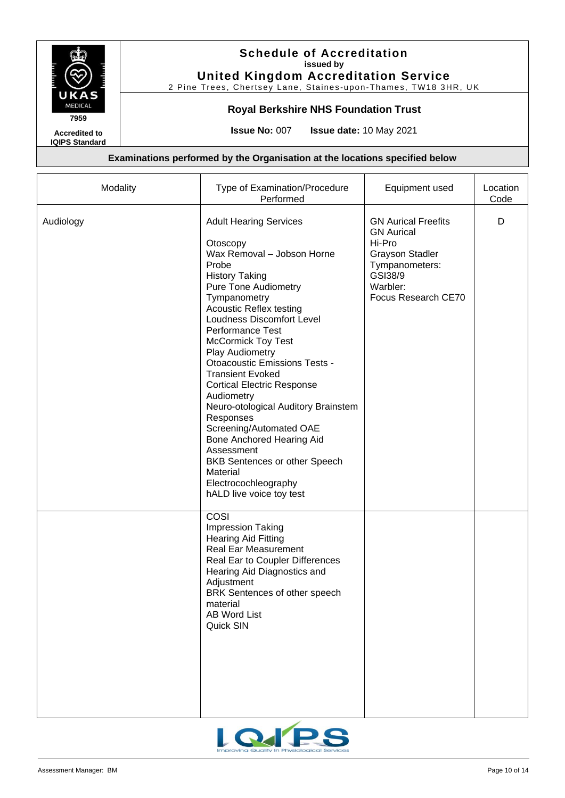

## **Royal Berkshire NHS Foundation Trust**

**Accredited to IQIPS Standard** **Issue No:** 007 **Issue date:** 10 May 2021

| Modality  | Type of Examination/Procedure<br>Performed                                                                                                                                                                                                                                                                                                                                                                                                                                                                                                                                                                                                          | Equipment used                                                                                                                                      | Location<br>Code |
|-----------|-----------------------------------------------------------------------------------------------------------------------------------------------------------------------------------------------------------------------------------------------------------------------------------------------------------------------------------------------------------------------------------------------------------------------------------------------------------------------------------------------------------------------------------------------------------------------------------------------------------------------------------------------------|-----------------------------------------------------------------------------------------------------------------------------------------------------|------------------|
| Audiology | <b>Adult Hearing Services</b><br>Otoscopy<br>Wax Removal - Jobson Horne<br>Probe<br><b>History Taking</b><br><b>Pure Tone Audiometry</b><br>Tympanometry<br><b>Acoustic Reflex testing</b><br><b>Loudness Discomfort Level</b><br>Performance Test<br><b>McCormick Toy Test</b><br>Play Audiometry<br><b>Otoacoustic Emissions Tests -</b><br><b>Transient Evoked</b><br><b>Cortical Electric Response</b><br>Audiometry<br>Neuro-otological Auditory Brainstem<br>Responses<br>Screening/Automated OAE<br>Bone Anchored Hearing Aid<br>Assessment<br>BKB Sentences or other Speech<br>Material<br>Electrocochleography<br>hALD live voice toy test | <b>GN Aurical Freefits</b><br><b>GN Aurical</b><br>Hi-Pro<br><b>Grayson Stadler</b><br>Tympanometers:<br>GSI38/9<br>Warbler:<br>Focus Research CE70 | D                |
|           | COSI<br><b>Impression Taking</b><br><b>Hearing Aid Fitting</b><br><b>Real Ear Measurement</b><br>Real Ear to Coupler Differences<br>Hearing Aid Diagnostics and<br>Adjustment<br>BRK Sentences of other speech<br>material<br><b>AB Word List</b><br>Quick SIN                                                                                                                                                                                                                                                                                                                                                                                      |                                                                                                                                                     |                  |

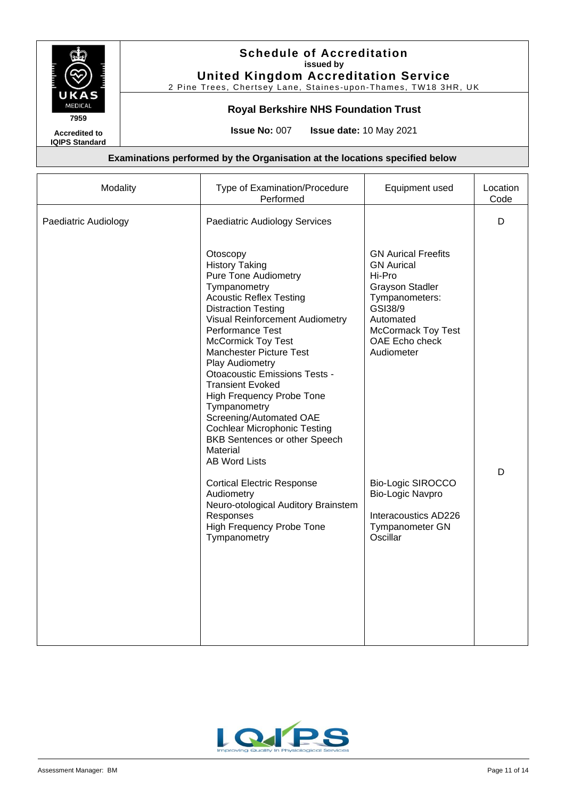

## **Royal Berkshire NHS Foundation Trust**

**Accredited to IQIPS Standard** **Issue No:** 007 **Issue date:** 10 May 2021

| Modality             | Type of Examination/Procedure<br>Performed                                                                                                                                                                                                                                                                                                                                                                                                                                                                                                                                                                                                                                             | Equipment used                                                                                                                                                                                                                                                                                    | Location<br>Code |
|----------------------|----------------------------------------------------------------------------------------------------------------------------------------------------------------------------------------------------------------------------------------------------------------------------------------------------------------------------------------------------------------------------------------------------------------------------------------------------------------------------------------------------------------------------------------------------------------------------------------------------------------------------------------------------------------------------------------|---------------------------------------------------------------------------------------------------------------------------------------------------------------------------------------------------------------------------------------------------------------------------------------------------|------------------|
| Paediatric Audiology | <b>Paediatric Audiology Services</b>                                                                                                                                                                                                                                                                                                                                                                                                                                                                                                                                                                                                                                                   |                                                                                                                                                                                                                                                                                                   | D                |
|                      | Otoscopy<br><b>History Taking</b><br><b>Pure Tone Audiometry</b><br>Tympanometry<br><b>Acoustic Reflex Testing</b><br><b>Distraction Testing</b><br>Visual Reinforcement Audiometry<br>Performance Test<br><b>McCormick Toy Test</b><br>Manchester Picture Test<br>Play Audiometry<br>Otoacoustic Emissions Tests -<br><b>Transient Evoked</b><br>High Frequency Probe Tone<br>Tympanometry<br>Screening/Automated OAE<br><b>Cochlear Microphonic Testing</b><br>BKB Sentences or other Speech<br>Material<br><b>AB Word Lists</b><br><b>Cortical Electric Response</b><br>Audiometry<br>Neuro-otological Auditory Brainstem<br>Responses<br>High Frequency Probe Tone<br>Tympanometry | <b>GN Aurical Freefits</b><br><b>GN Aurical</b><br>Hi-Pro<br><b>Grayson Stadler</b><br>Tympanometers:<br>GSI38/9<br>Automated<br><b>McCormack Toy Test</b><br>OAE Echo check<br>Audiometer<br><b>Bio-Logic SIROCCO</b><br>Bio-Logic Navpro<br>Interacoustics AD226<br>Tympanometer GN<br>Oscillar | D                |

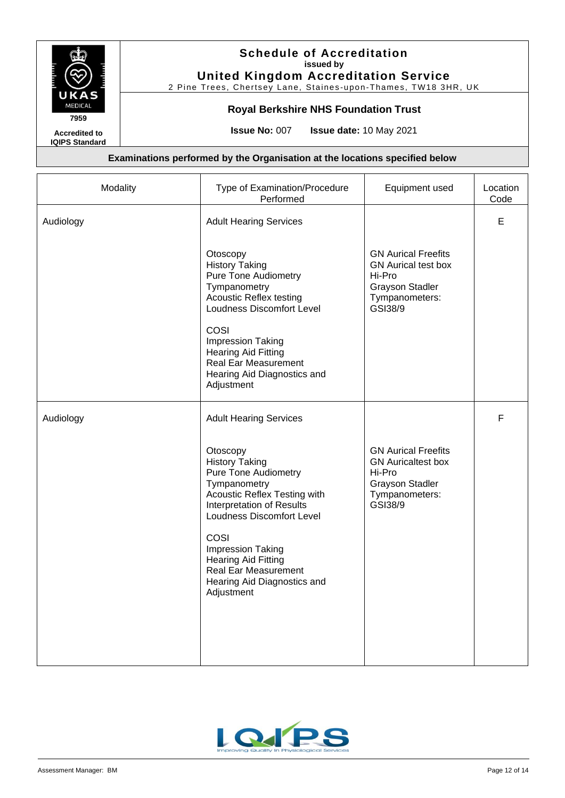

2 Pine Trees, Chertsey Lane, Staines-upon-Thames, TW18 3HR, UK

## **Royal Berkshire NHS Foundation Trust**

**Accredited to IQIPS Standard** **Issue No:** 007 **Issue date:** 10 May 2021

| Type of Examination/Procedure<br>Performed                                                                                                                                                                                                                                                                 | Equipment used                                                                                                            | Location<br>Code |
|------------------------------------------------------------------------------------------------------------------------------------------------------------------------------------------------------------------------------------------------------------------------------------------------------------|---------------------------------------------------------------------------------------------------------------------------|------------------|
| <b>Adult Hearing Services</b>                                                                                                                                                                                                                                                                              |                                                                                                                           | E                |
| Otoscopy<br><b>History Taking</b><br><b>Pure Tone Audiometry</b><br>Tympanometry<br><b>Acoustic Reflex testing</b><br>Loudness Discomfort Level                                                                                                                                                            | <b>GN Aurical Freefits</b><br><b>GN</b> Aurical test box<br>Hi-Pro<br><b>Grayson Stadler</b><br>Tympanometers:<br>GSI38/9 |                  |
| COSI<br>Impression Taking<br><b>Hearing Aid Fitting</b><br>Real Ear Measurement<br>Hearing Aid Diagnostics and<br>Adjustment                                                                                                                                                                               |                                                                                                                           |                  |
| <b>Adult Hearing Services</b>                                                                                                                                                                                                                                                                              |                                                                                                                           | F                |
| Otoscopy<br><b>History Taking</b><br><b>Pure Tone Audiometry</b><br>Tympanometry<br>Acoustic Reflex Testing with<br>Interpretation of Results<br>Loudness Discomfort Level<br>COSI<br>Impression Taking<br><b>Hearing Aid Fitting</b><br>Real Ear Measurement<br>Hearing Aid Diagnostics and<br>Adjustment | <b>GN Aurical Freefits</b><br><b>GN</b> Auricaltest box<br>Hi-Pro<br><b>Grayson Stadler</b><br>Tympanometers:<br>GSI38/9  |                  |
|                                                                                                                                                                                                                                                                                                            |                                                                                                                           |                  |

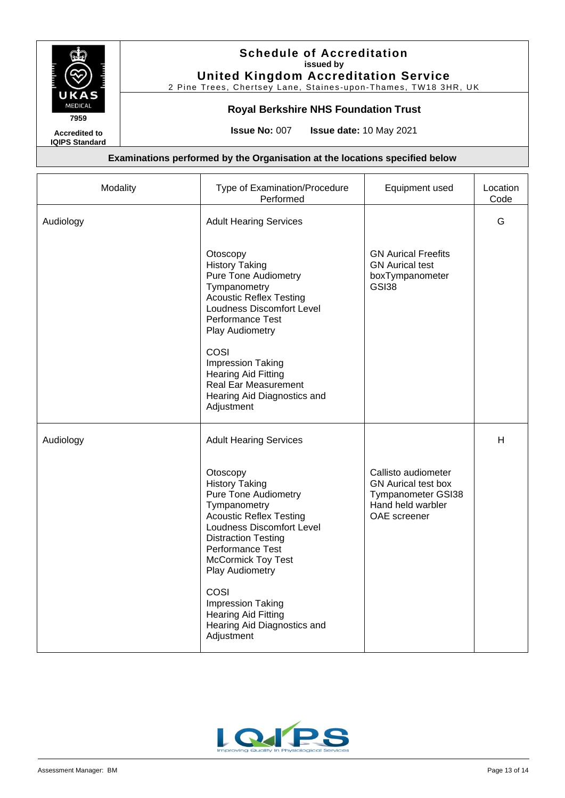

2 Pine Trees, Chertsey Lane, Staines-upon-Thames, TW18 3HR, UK

## **Royal Berkshire NHS Foundation Trust**

**Accredited to IQIPS Standard** **Issue No:** 007 **Issue date:** 10 May 2021

| Modality  | Type of Examination/Procedure<br>Performed                                                                                                                                                                                                        | Equipment used                                                                                               | Location<br>Code |
|-----------|---------------------------------------------------------------------------------------------------------------------------------------------------------------------------------------------------------------------------------------------------|--------------------------------------------------------------------------------------------------------------|------------------|
| Audiology | <b>Adult Hearing Services</b>                                                                                                                                                                                                                     |                                                                                                              | G                |
|           | Otoscopy<br><b>History Taking</b><br><b>Pure Tone Audiometry</b><br>Tympanometry<br><b>Acoustic Reflex Testing</b><br>Loudness Discomfort Level<br>Performance Test<br>Play Audiometry                                                            | <b>GN Aurical Freefits</b><br><b>GN</b> Aurical test<br>boxTympanometer<br><b>GSI38</b>                      |                  |
|           | COSI<br><b>Impression Taking</b><br><b>Hearing Aid Fitting</b><br><b>Real Ear Measurement</b><br>Hearing Aid Diagnostics and<br>Adjustment                                                                                                        |                                                                                                              |                  |
| Audiology | <b>Adult Hearing Services</b>                                                                                                                                                                                                                     |                                                                                                              | H                |
|           | Otoscopy<br><b>History Taking</b><br><b>Pure Tone Audiometry</b><br>Tympanometry<br><b>Acoustic Reflex Testing</b><br>Loudness Discomfort Level<br><b>Distraction Testing</b><br>Performance Test<br><b>McCormick Toy Test</b><br>Play Audiometry | Callisto audiometer<br><b>GN</b> Aurical test box<br>Tympanometer GSI38<br>Hand held warbler<br>OAE screener |                  |
|           | COSI<br>Impression Taking<br><b>Hearing Aid Fitting</b><br>Hearing Aid Diagnostics and<br>Adjustment                                                                                                                                              |                                                                                                              |                  |